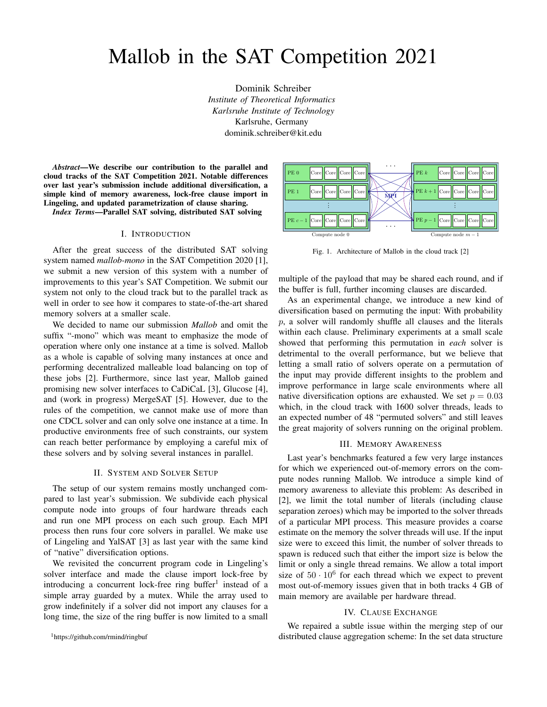# Mallob in the SAT Competition 2021

Dominik Schreiber *Institute of Theoretical Informatics Karlsruhe Institute of Technology* Karlsruhe, Germany dominik.schreiber@kit.edu

*Abstract*—We describe our contribution to the parallel and cloud tracks of the SAT Competition 2021. Notable differences over last year's submission include additional diversification, a simple kind of memory awareness, lock-free clause import in Lingeling, and updated parametrization of clause sharing.

*Index Terms*—Parallel SAT solving, distributed SAT solving

## I. INTRODUCTION

After the great success of the distributed SAT solving system named *mallob-mono* in the SAT Competition 2020 [1], we submit a new version of this system with a number of improvements to this year's SAT Competition. We submit our system not only to the cloud track but to the parallel track as well in order to see how it compares to state-of-the-art shared memory solvers at a smaller scale.

We decided to name our submission *Mallob* and omit the suffix "-mono" which was meant to emphasize the mode of operation where only one instance at a time is solved. Mallob as a whole is capable of solving many instances at once and performing decentralized malleable load balancing on top of these jobs [2]. Furthermore, since last year, Mallob gained promising new solver interfaces to CaDiCaL [3], Glucose [4], and (work in progress) MergeSAT [5]. However, due to the rules of the competition, we cannot make use of more than one CDCL solver and can only solve one instance at a time. In productive environments free of such constraints, our system can reach better performance by employing a careful mix of these solvers and by solving several instances in parallel.

## II. SYSTEM AND SOLVER SETUP

The setup of our system remains mostly unchanged compared to last year's submission. We subdivide each physical compute node into groups of four hardware threads each and run one MPI process on each such group. Each MPI process then runs four core solvers in parallel. We make use of Lingeling and YalSAT [3] as last year with the same kind of "native" diversification options.

We revisited the concurrent program code in Lingeling's solver interface and made the clause import lock-free by introducing a concurrent lock-free ring buffer<sup>1</sup> instead of a simple array guarded by a mutex. While the array used to grow indefinitely if a solver did not import any clauses for a long time, the size of the ring buffer is now limited to a small





Fig. 1. Architecture of Mallob in the cloud track [2]

multiple of the payload that may be shared each round, and if the buffer is full, further incoming clauses are discarded.

As an experimental change, we introduce a new kind of diversification based on permuting the input: With probability  $p$ , a solver will randomly shuffle all clauses and the literals within each clause. Preliminary experiments at a small scale showed that performing this permutation in *each* solver is detrimental to the overall performance, but we believe that letting a small ratio of solvers operate on a permutation of the input may provide different insights to the problem and improve performance in large scale environments where all native diversification options are exhausted. We set  $p = 0.03$ which, in the cloud track with 1600 solver threads, leads to an expected number of 48 "permuted solvers" and still leaves the great majority of solvers running on the original problem.

#### III. MEMORY AWARENESS

Last year's benchmarks featured a few very large instances for which we experienced out-of-memory errors on the compute nodes running Mallob. We introduce a simple kind of memory awareness to alleviate this problem: As described in [2], we limit the total number of literals (including clause separation zeroes) which may be imported to the solver threads of a particular MPI process. This measure provides a coarse estimate on the memory the solver threads will use. If the input size were to exceed this limit, the number of solver threads to spawn is reduced such that either the import size is below the limit or only a single thread remains. We allow a total import size of  $50 \cdot 10^6$  for each thread which we expect to prevent most out-of-memory issues given that in both tracks 4 GB of main memory are available per hardware thread.

## IV. CLAUSE EXCHANGE

We repaired a subtle issue within the merging step of our distributed clause aggregation scheme: In the set data structure